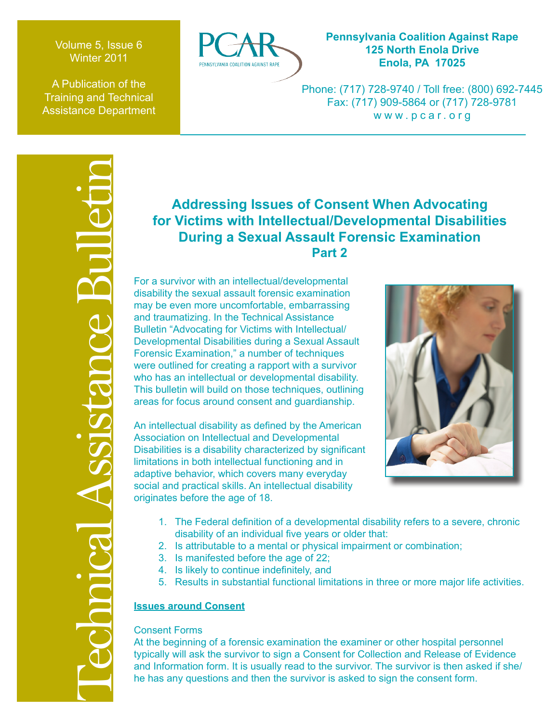Volume 5, Issue 6 Winter 2011

A Publication of the Training and Technical Assistance Department



# **Pennsylvania Coalition Against Rape 125 North Enola Drive Enola, PA 17025**

Phone: (717) 728-9740 / Toll free: (800) 692-7445 Fax: (717) 909-5864 or (717) 728-9781 www.pcar.org

# Technical Assistance Bulletin

# **Addressing Issues of Consent When Advocating for Victims with Intellectual/Developmental Disabilities During a Sexual Assault Forensic Examination Part 2**

For a survivor with an intellectual/developmental disability the sexual assault forensic examination may be even more uncomfortable, embarrassing and traumatizing. In the Technical Assistance Bulletin "Advocating for Victims with Intellectual/ Developmental Disabilities during a Sexual Assault Forensic Examination," a number of techniques were outlined for creating a rapport with a survivor who has an intellectual or developmental disability. This bulletin will build on those techniques, outlining areas for focus around consent and guardianship.

An intellectual disability as defined by the American Association on Intellectual and Developmental Disabilities is a disability characterized by significant limitations in both intellectual functioning and in adaptive behavior, which covers many everyday social and practical skills. An intellectual disability originates before the age of 18.



- 1. The Federal definition of a developmental disability refers to a severe, chronic disability of an individual five years or older that:
- 2. Is attributable to a mental or physical impairment or combination;
- 3. Is manifested before the age of 22;
- 4. Is likely to continue indefinitely, and
- 5. Results in substantial functional limitations in three or more major life activities.

# **Issues around Consent**

# Consent Forms

At the beginning of a forensic examination the examiner or other hospital personnel typically will ask the survivor to sign a Consent for Collection and Release of Evidence and Information form. It is usually read to the survivor. The survivor is then asked if she/ he has any questions and then the survivor is asked to sign the consent form.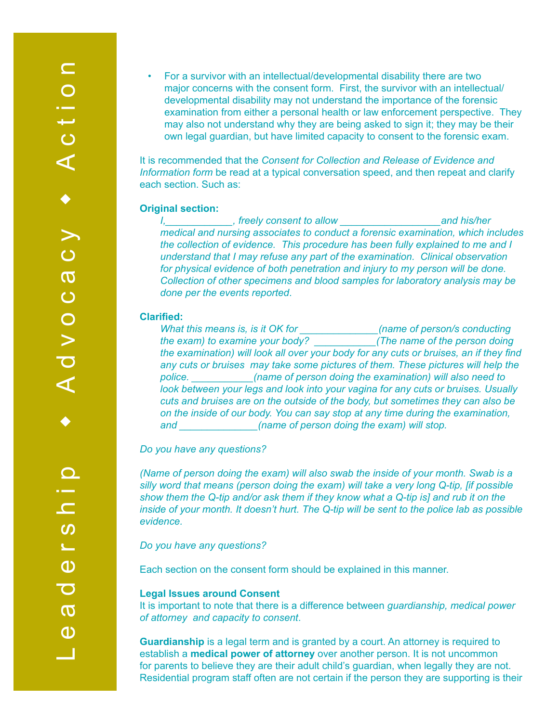• For a survivor with an intellectual/developmental disability there are two major concerns with the consent form. First, the survivor with an intellectual/ developmental disability may not understand the importance of the forensic examination from either a personal health or law enforcement perspective. They may also not understand why they are being asked to sign it; they may be their own legal guardian, but have limited capacity to consent to the forensic exam.

It is recommended that the *Consent for Collection and Release of Evidence and Information form* be read at a typical conversation speed, and then repeat and clarify each section. Such as:

### **Original section:**

*I,* treely consent to allow and his/her **and his/her** *medical and nursing associates to conduct a forensic examination, which includes the collection of evidence. This procedure has been fully explained to me and I understand that I may refuse any part of the examination. Clinical observation for physical evidence of both penetration and injury to my person will be done. Collection of other specimens and blood samples for laboratory analysis may be done per the events reported*.

### **Clarified:**

*What this means is, is it OK for \_\_\_\_\_\_\_\_\_\_\_\_\_\_(name of person/s conducting the exam) to examine your body? \_\_\_\_\_\_\_\_\_\_\_(The name of the person doing the examination) will look all over your body for any cuts or bruises, an if they find any cuts or bruises may take some pictures of them. These pictures will help the police. \_\_\_\_\_\_\_\_\_\_\_(name of person doing the examination) will also need to look between your legs and look into your vagina for any cuts or bruises. Usually cuts and bruises are on the outside of the body, but sometimes they can also be on the inside of our body. You can say stop at any time during the examination, and \_\_\_\_\_\_\_\_\_\_\_\_\_\_(name of person doing the exam) will stop.* 

*Do you have any questions?*

*(Name of person doing the exam) will also swab the inside of your month. Swab is a silly word that means (person doing the exam) will take a very long Q-tip, [if possible show them the Q-tip and/or ask them if they know what a Q-tip is] and rub it on the inside of your month. It doesn't hurt. The Q-tip will be sent to the police lab as possible evidence.*

*Do you have any questions?*

Each section on the consent form should be explained in this manner.

# **Legal Issues around Consent**

It is important to note that there is a difference between *guardianship, medical power of attorney and capacity to consent*.

**Guardianship** is a legal term and is granted by a court. An attorney is required to establish a **medical power of attorney** over another person. It is not uncommon for parents to believe they are their adult child's guardian, when legally they are not. Residential program staff often are not certain if the person they are supporting is their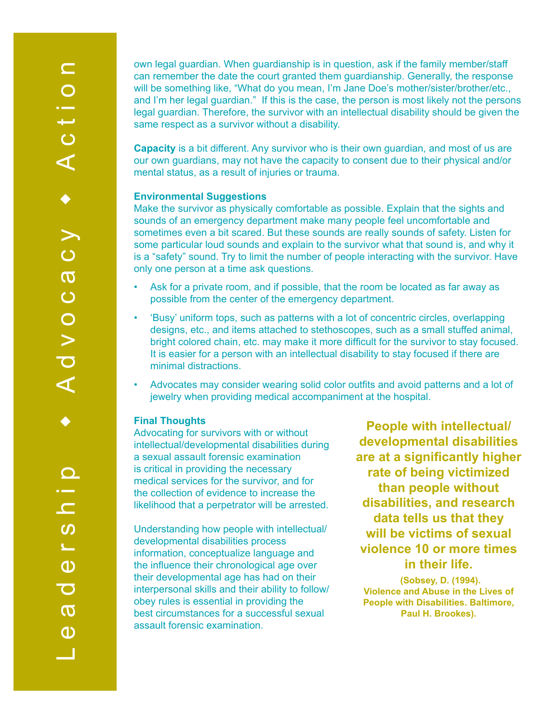own legal guardian. When guardianship is in question, ask if the family member/staff can remember the date the court granted them guardianship. Generally, the response will be something like, "What do you mean, I'm Jane Doe's mother/sister/brother/etc., and I'm her legal guardian." If this is the case, the person is most likely not the persons legal guardian. Therefore, the survivor with an intellectual disability should be given the same respect as a survivor without a disability.

**Capacity** is a bit different. Any survivor who is their own guardian, and most of us are our own guardians, may not have the capacity to consent due to their physical and/or mental status, as a result of injuries or trauma.

### **Environmental Suggestions**

Make the survivor as physically comfortable as possible. Explain that the sights and sounds of an emergency department make many people feel uncomfortable and sometimes even a bit scared. But these sounds are really sounds of safety. Listen for some particular loud sounds and explain to the survivor what that sound is, and why it is a "safety" sound. Try to limit the number of people interacting with the survivor. Have only one person at a time ask questions.

- Ask for a private room, and if possible, that the room be located as far away as possible from the center of the emergency department.
- 'Busy' uniform tops, such as patterns with a lot of concentric circles, overlapping designs, etc., and items attached to stethoscopes, such as a small stuffed animal, bright colored chain, etc. may make it more difficult for the survivor to stay focused. It is easier for a person with an intellectual disability to stay focused if there are minimal distractions.
- Advocates may consider wearing solid color outfits and avoid patterns and a lot of jewelry when providing medical accompaniment at the hospital.

# **Final Thoughts**

Advocating for survivors with or without intellectual/developmental disabilities during a sexual assault forensic examination is critical in providing the necessary medical services for the survivor, and for the collection of evidence to increase the likelihood that a perpetrator will be arrested.

Understanding how people with intellectual/ developmental disabilities process information, conceptualize language and the influence their chronological age over their developmental age has had on their interpersonal skills and their ability to follow/ obey rules is essential in providing the best circumstances for a successful sexual assault forensic examination.

**People with intellectual/ developmental disabilities are at a significantly higher rate of being victimized than people without disabilities, and research data tells us that they will be victims of sexual violence 10 or more times in their life.**

**(Sobsey, D. (1994). Violence and Abuse in the Lives of People with Disabilities. Baltimore, Paul H. Brookes).**